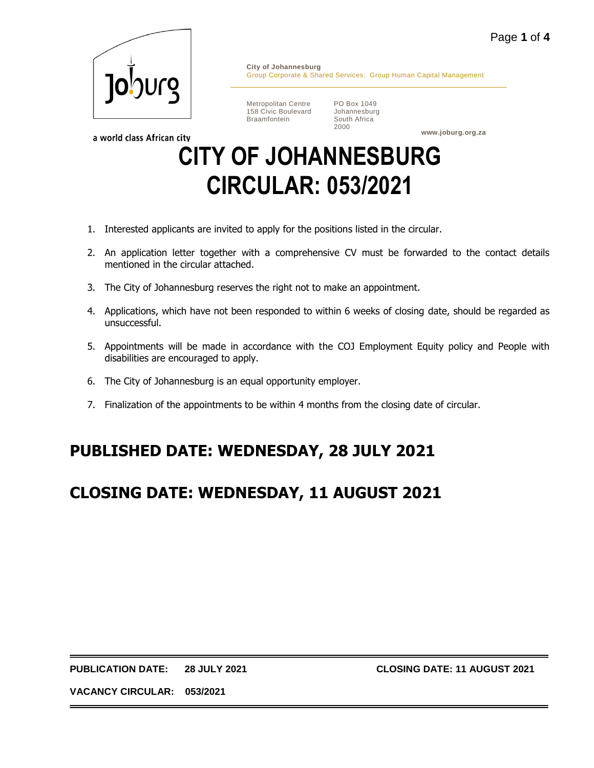

**City of Johannesburg** Group Corporate & Shared Services: Group Human Capital Management

Metropolitan Centre 158 Civic Boulevard Braamfontein

PO Box 1049 Johannesburg South Africa 2000

**www.joburg.org.za**

a world class African city

# **CITY OF JOHANNESBURG CIRCULAR: 053/2021**

- 1. Interested applicants are invited to apply for the positions listed in the circular.
- 2. An application letter together with a comprehensive CV must be forwarded to the contact details mentioned in the circular attached.
- 3. The City of Johannesburg reserves the right not to make an appointment.
- 4. Applications, which have not been responded to within 6 weeks of closing date, should be regarded as unsuccessful.
- 5. Appointments will be made in accordance with the COJ Employment Equity policy and People with disabilities are encouraged to apply.
- 6. The City of Johannesburg is an equal opportunity employer.
- 7. Finalization of the appointments to be within 4 months from the closing date of circular.

# **PUBLISHED DATE: WEDNESDAY, 28 JULY 2021**

# **CLOSING DATE: WEDNESDAY, 11 AUGUST 2021**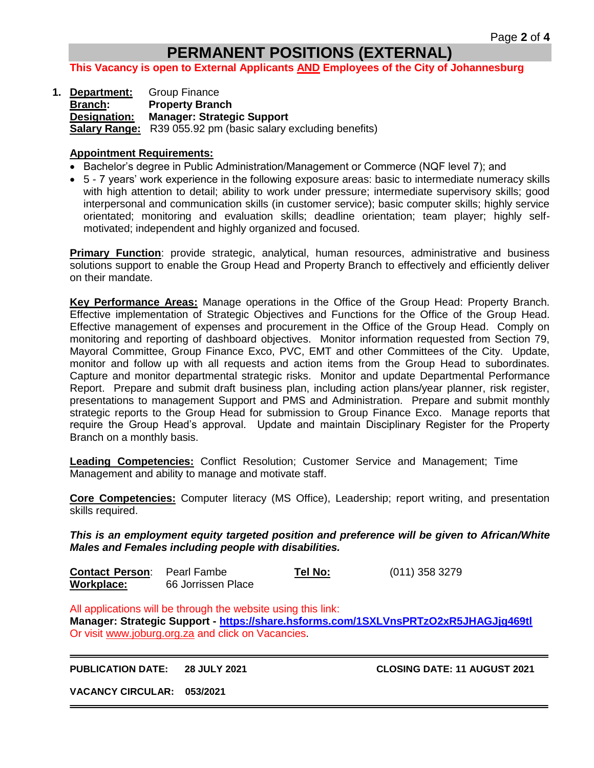## **PERMANENT POSITIONS (EXTERNAL)**

**This Vacancy is open to External Applicants AND Employees of the City of Johannesburg**

**1. Department:** Group Finance **Branch: Property Branch Designation: Manager: Strategic Support Salary Range:** R39 055.92 pm (basic salary excluding benefits)

#### **Appointment Requirements:**

- Bachelor's degree in Public Administration/Management or Commerce (NQF level 7); and
- 5 7 years' work experience in the following exposure areas: basic to intermediate numeracy skills with high attention to detail; ability to work under pressure; intermediate supervisory skills; good interpersonal and communication skills (in customer service); basic computer skills; highly service orientated; monitoring and evaluation skills; deadline orientation; team player; highly selfmotivated; independent and highly organized and focused.

**Primary Function**: provide strategic, analytical, human resources, administrative and business solutions support to enable the Group Head and Property Branch to effectively and efficiently deliver on their mandate.

**Key Performance Areas:** Manage operations in the Office of the Group Head: Property Branch. Effective implementation of Strategic Objectives and Functions for the Office of the Group Head. Effective management of expenses and procurement in the Office of the Group Head. Comply on monitoring and reporting of dashboard objectives. Monitor information requested from Section 79, Mayoral Committee, Group Finance Exco, PVC, EMT and other Committees of the City. Update, monitor and follow up with all requests and action items from the Group Head to subordinates. Capture and monitor departmental strategic risks. Monitor and update Departmental Performance Report. Prepare and submit draft business plan, including action plans/year planner, risk register, presentations to management Support and PMS and Administration. Prepare and submit monthly strategic reports to the Group Head for submission to Group Finance Exco. Manage reports that require the Group Head's approval. Update and maintain Disciplinary Register for the Property Branch on a monthly basis.

**Leading Competencies:** Conflict Resolution; Customer Service and Management; Time Management and ability to manage and motivate staff.

**Core Competencies:** Computer literacy (MS Office), Leadership; report writing, and presentation skills required.

*This is an employment equity targeted position and preference will be given to African/White Males and Females including people with disabilities.*

| <b>Contact Person:</b> Pearl Fambe |                    | Tel No: | (011) 358 3279 |
|------------------------------------|--------------------|---------|----------------|
| Workplace:                         | 66 Jorrissen Place |         |                |

All applications will be through the website using this link: **Manager: Strategic Support - <https://share.hsforms.com/1SXLVnsPRTzO2xR5JHAGJjg469tl>** Or visit [www.joburg.org.za](http://www.joburg.org.za/) and click on Vacancies.

**PUBLICATION DATE: 28 JULY 2021 CLOSING DATE: 11 AUGUST 2021**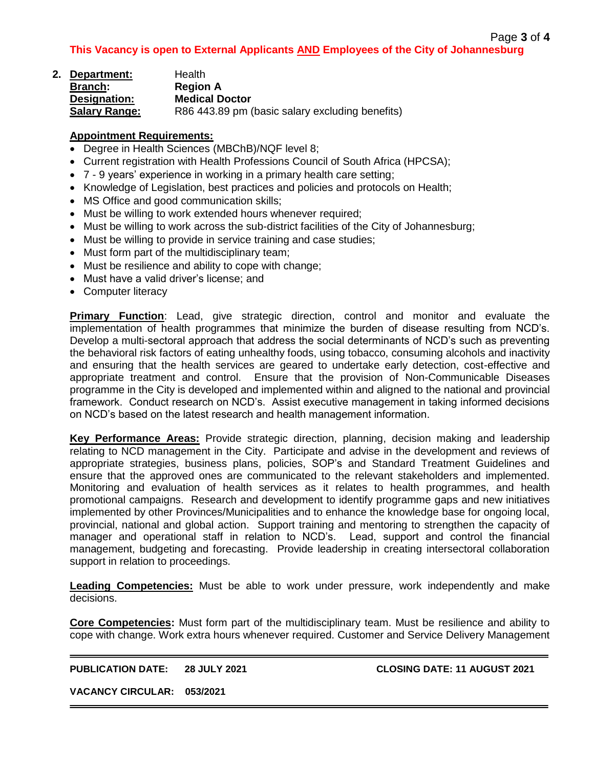| 2. Department:       | Health                                          |
|----------------------|-------------------------------------------------|
| <b>Branch:</b>       | <b>Region A</b>                                 |
| Designation:         | <b>Medical Doctor</b>                           |
| <b>Salary Range:</b> | R86 443.89 pm (basic salary excluding benefits) |

### **Appointment Requirements:**

- Degree in Health Sciences (MBChB)/NQF level 8;
- Current registration with Health Professions Council of South Africa (HPCSA);
- 7 9 years' experience in working in a primary health care setting;
- Knowledge of Legislation, best practices and policies and protocols on Health;
- MS Office and good communication skills;
- Must be willing to work extended hours whenever required;
- Must be willing to work across the sub-district facilities of the City of Johannesburg;
- Must be willing to provide in service training and case studies;
- Must form part of the multidisciplinary team;
- Must be resilience and ability to cope with change;
- Must have a valid driver's license; and
- Computer literacy

**Primary Function**: Lead, give strategic direction, control and monitor and evaluate the implementation of health programmes that minimize the burden of disease resulting from NCD's. Develop a multi-sectoral approach that address the social determinants of NCD's such as preventing the behavioral risk factors of eating unhealthy foods, using tobacco, consuming alcohols and inactivity and ensuring that the health services are geared to undertake early detection, cost-effective and appropriate treatment and control. Ensure that the provision of Non-Communicable Diseases programme in the City is developed and implemented within and aligned to the national and provincial framework. Conduct research on NCD's. Assist executive management in taking informed decisions on NCD's based on the latest research and health management information.

**Key Performance Areas:** Provide strategic direction, planning, decision making and leadership relating to NCD management in the City. Participate and advise in the development and reviews of appropriate strategies, business plans, policies, SOP's and Standard Treatment Guidelines and ensure that the approved ones are communicated to the relevant stakeholders and implemented. Monitoring and evaluation of health services as it relates to health programmes, and health promotional campaigns. Research and development to identify programme gaps and new initiatives implemented by other Provinces/Municipalities and to enhance the knowledge base for ongoing local, provincial, national and global action. Support training and mentoring to strengthen the capacity of manager and operational staff in relation to NCD's. Lead, support and control the financial management, budgeting and forecasting. Provide leadership in creating intersectoral collaboration support in relation to proceedings.

**Leading Competencies:** Must be able to work under pressure, work independently and make decisions.

**Core Competencies:** Must form part of the multidisciplinary team. Must be resilience and ability to cope with change. Work extra hours whenever required. Customer and Service Delivery Management

**PUBLICATION DATE: 28 JULY 2021 CLOSING DATE: 11 AUGUST 2021**